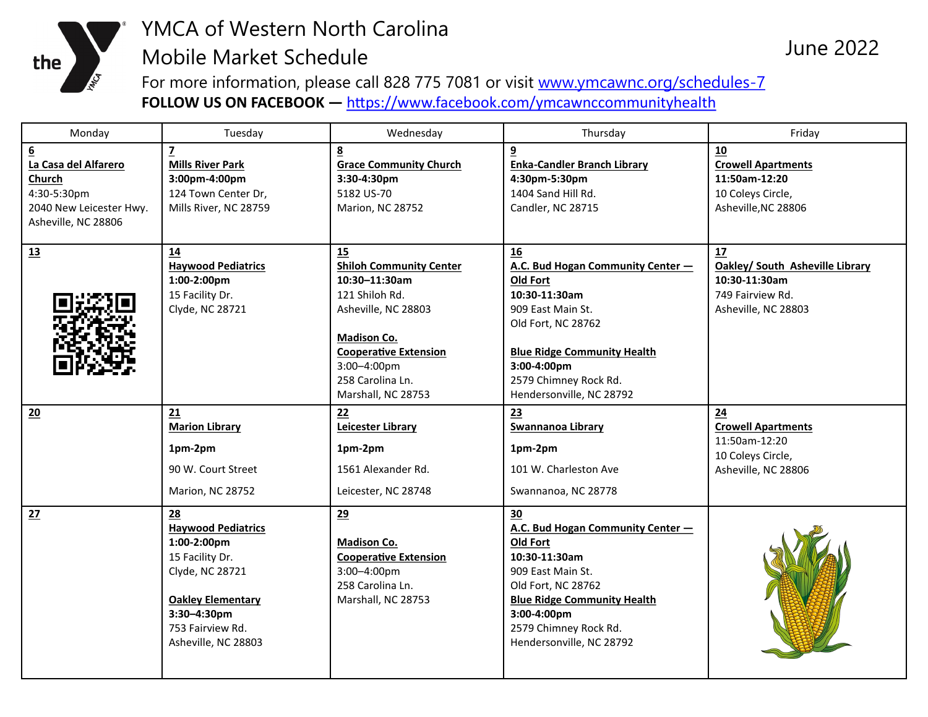

## YMCA of Western North Carolina Mobile Market Schedule

For more information, please call 828 775 7081 or visit [www.ymcawnc.org/schedules-7](http://www.ymcawnc.org/schedules-7) **FOLLOW US ON FACEBOOK —** <https://www.facebook.com/ymcawnccommunityhealth>

| Monday                                                                                                             | Tuesday                                                                                                                                                                    | Wednesday                                                                                                                                                                                                          | Thursday                                                                                                                                                                                                                  | Friday                                                                                            |
|--------------------------------------------------------------------------------------------------------------------|----------------------------------------------------------------------------------------------------------------------------------------------------------------------------|--------------------------------------------------------------------------------------------------------------------------------------------------------------------------------------------------------------------|---------------------------------------------------------------------------------------------------------------------------------------------------------------------------------------------------------------------------|---------------------------------------------------------------------------------------------------|
| $\underline{6}$<br>La Casa del Alfarero<br>Church<br>4:30-5:30pm<br>2040 New Leicester Hwy.<br>Asheville, NC 28806 | $\overline{z}$<br><b>Mills River Park</b><br>3:00pm-4:00pm<br>124 Town Center Dr,<br>Mills River, NC 28759                                                                 | 8<br><b>Grace Community Church</b><br>3:30-4:30pm<br>5182 US-70<br>Marion, NC 28752                                                                                                                                | 9<br><b>Enka-Candler Branch Library</b><br>4:30pm-5:30pm<br>1404 Sand Hill Rd.<br>Candler, NC 28715                                                                                                                       | 10<br><b>Crowell Apartments</b><br>11:50am-12:20<br>10 Coleys Circle,<br>Asheville, NC 28806      |
| 13                                                                                                                 | 14<br><b>Haywood Pediatrics</b><br>1:00-2:00pm<br>15 Facility Dr.<br>Clyde, NC 28721                                                                                       | 15<br><b>Shiloh Community Center</b><br>$10:30 - 11:30$ am<br>121 Shiloh Rd.<br>Asheville, NC 28803<br><b>Madison Co.</b><br><b>Cooperative Extension</b><br>3:00-4:00pm<br>258 Carolina Ln.<br>Marshall, NC 28753 | 16<br>A.C. Bud Hogan Community Center -<br>Old Fort<br>10:30-11:30am<br>909 East Main St.<br>Old Fort, NC 28762<br><b>Blue Ridge Community Health</b><br>3:00-4:00pm<br>2579 Chimney Rock Rd.<br>Hendersonville, NC 28792 | 17<br>Oakley/ South Asheville Library<br>10:30-11:30am<br>749 Fairview Rd.<br>Asheville, NC 28803 |
| 20                                                                                                                 | 21<br><b>Marion Library</b><br>1pm-2pm<br>90 W. Court Street<br>Marion, NC 28752                                                                                           | 22<br><b>Leicester Library</b><br>1pm-2pm<br>1561 Alexander Rd.<br>Leicester, NC 28748                                                                                                                             | 23<br><b>Swannanoa Library</b><br>1pm-2pm<br>101 W. Charleston Ave<br>Swannanoa, NC 28778                                                                                                                                 | 24<br><b>Crowell Apartments</b><br>11:50am-12:20<br>10 Coleys Circle,<br>Asheville, NC 28806      |
| 27                                                                                                                 | 28<br><b>Haywood Pediatrics</b><br>1:00-2:00pm<br>15 Facility Dr.<br>Clyde, NC 28721<br><b>Oakley Elementary</b><br>3:30-4:30pm<br>753 Fairview Rd.<br>Asheville, NC 28803 | 29<br>Madison Co.<br><b>Cooperative Extension</b><br>3:00-4:00pm<br>258 Carolina Ln.<br>Marshall, NC 28753                                                                                                         | 30<br>A.C. Bud Hogan Community Center -<br>Old Fort<br>10:30-11:30am<br>909 East Main St.<br>Old Fort, NC 28762<br><b>Blue Ridge Community Health</b><br>3:00-4:00pm<br>2579 Chimney Rock Rd.<br>Hendersonville, NC 28792 |                                                                                                   |